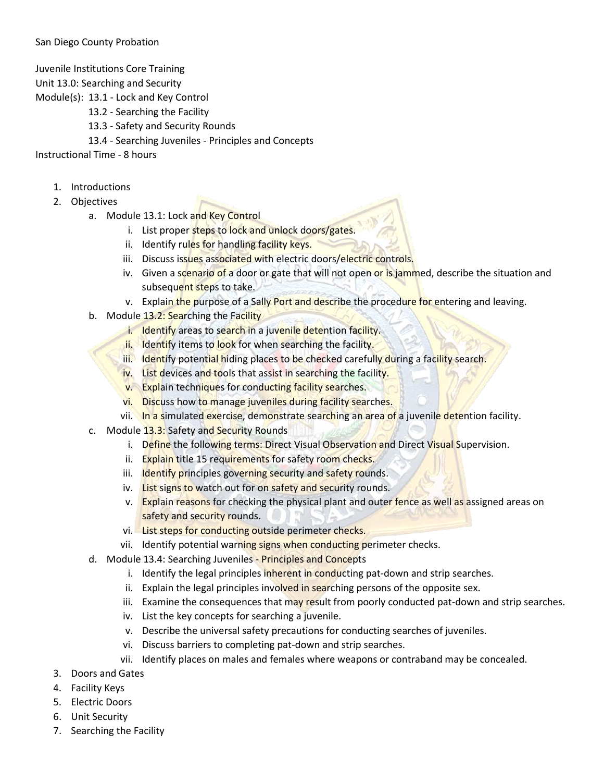Juvenile Institutions Core Training

Unit 13.0: Searching and Security

Module(s): 13.1 - Lock and Key Control

- 13.2 Searching the Facility
- 13.3 Safety and Security Rounds
- 13.4 Searching Juveniles Principles and Concepts

Instructional Time - 8 hours

- 1. Introductions
- 2. Objectives
	- a. Module 13.1: Lock and Key Control
		- i. List proper steps to lock and unlock doors/gates.
		- ii. Identify rules for handling facility keys.
		- iii. Discuss issues associated with electric doors/electric controls.
		- iv. Given a scenario of a door or gate that will not open or is jammed, describe the situation and subsequent steps to take.
		- v. Explain the purpose of a Sally Port and describe the procedure for entering and leaving.
	- b. Module 13.2: Searching the Facility
		- i. Identify areas to search in a juvenile detention facility.
		- ii. Identify items to look for when searching the facility.
		- iii. Identify potential hiding places to be checked carefully during a facility search.
		- iv. List devices and tools that assist in searching the facility.
		- v. Explain techniques for conducting facility searches.
		- vi. Discuss how to manage juveniles during facility searches.
		- vii. In a simulated exercise, demonstrate searching an area of a juvenile detention facility.
	- c. Module 13.3: Safety and Security Rounds
		- i. Define the following terms: Direct Visual Observation and Direct Visual Supervision.
		- ii. Explain title 15 requirements for safety room checks.
		- iii. Identify principles governing security and safety rounds.
		- iv. List signs to watch out for on safety and security rounds.
		- v. Explain reasons for checking the physical plant and outer fence as well as assigned areas on safety and security rounds.
		- vi. List steps for conducting outside perimeter checks.
		- vii. Identify potential warning signs when conducting perimeter checks.
	- d. Module 13.4: Searching Juveniles Principles and Concepts
		- i. Identify the legal principles inherent in conducting pat-down and strip searches.
		- ii. Explain the legal principles involved in searching persons of the opposite sex.
		- iii. Examine the consequences that may result from poorly conducted pat-down and strip searches.
		- iv. List the key concepts for searching a juvenile.
		- v. Describe the universal safety precautions for conducting searches of juveniles.
		- vi. Discuss barriers to completing pat-down and strip searches.
		- vii. Identify places on males and females where weapons or contraband may be concealed.
- 3. Doors and Gates
- 4. Facility Keys
- 5. Electric Doors
- 6. Unit Security
- 7. Searching the Facility